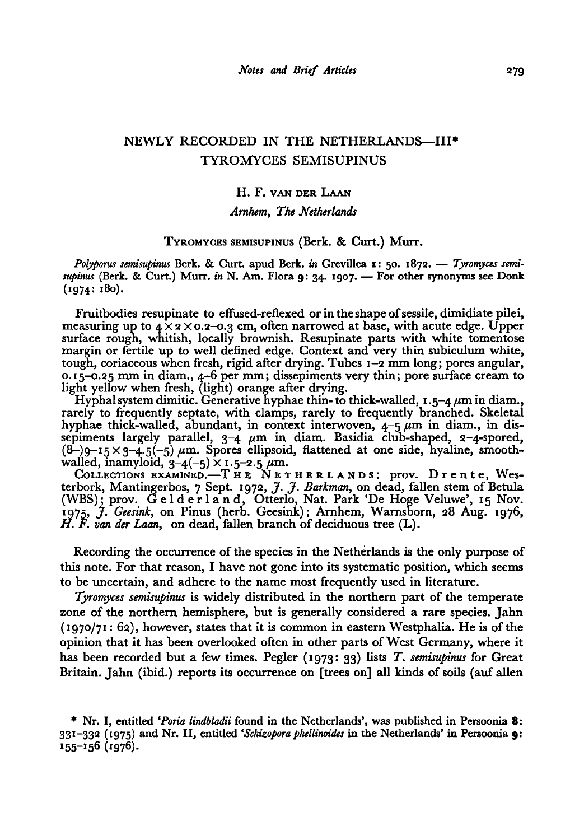# NEWLY RECORDED IN THE NETHERLANDS—III<sup>\*</sup> Tyromyces semisupinus

## H.F. van der Laan

## Amhem, The Netherlands

## TYROMYCES SEMISUPINUS (Berk. & Curt.) Murr.

Polyporus semisupinus Berk. & Curt. apud Berk. in Grevillea 1: 50. 1872. - Tyromyces semi supinus (Berk. & Curt.) Murr. in N. Am. Flora 9: 34. 1907. — For other synonyms see Donk (1974: 180).

Fruitbodies resupinate to effused-reflexed or in the shape of sessile, dimidiate pilei, measuring up to  $4 \times 2 \times 0.2$ -0.3 cm, often narrowed at base, with acute edge. Upper surface rough, whitish, locally brownish. Resupinate parts with white tomentose margin or fertile up to well defined edge. Context and very thin subiculum white, tough, coriaceous when fresh, rigid after drying. Tubes 1-2 mm long; pores angular, 0.15-0.25 mm in diam., 4-6 per mm; dissepiments very thin; pore surface cream to light yellow when fresh, (light) orange after drying.

ht yellow when fresh, (light) orange after drying.<br>Hyphalsystem dimitic. Generative hyphae thin- to thick-walled, 1.5–4 µm in diam., rarely to frequently septate, with clamps, rarely to frequently branched. Skeletal hyphae thick-walled, abundant, in context interwoven,  $4-5 \mu m$  in diam., in dissepiments largely parallel, 3-4  $\mu$ m in diam. Basidia club-shaped, 2-4-spored,  $(8-)$ g-i5  $\times$  3-4.5(-5)  $\mu$ m. Spores ellipsoid, flattened at one side, hyaline, smooth walled, inamyloid, 3-4(-5)  $\times$  1.5-2.5  $\mu$ m.<br>COLLECTIONS EXAMINED.—T HE NETHERLANDS: prov. D r e n t e, West

terbork, Mantingerbos, <sup>7</sup> Sept. 1972, J. J. Barkman, on dead, fallen stem of Betula (WBS); prov. Gelderland, Otterlo, Nat. Park 'De Höge Veluwe', <sup>15</sup> Nov.  $\hat{H}_{1975}$ ,  $\hat{\mathcal{J}}$ . Geesink, on Pinus (herb. Geesink); Arnhem, Warnsborn, 28 Aug. 1976,  $H. F.$  van der Laan, on dead, fallen branch of deciduous tree  $(L)$ .

Recording the occurrence of the species in the Netherlands is the only purpose of this note. For that reason, I have not gone into its systematic position, which seems to be uncertain, and adhere to the name most frequently used in literature.

Tyromyces semisupinus is widely distributed in the northern part of the temperate zone of the northern hemisphere, but is generally considered a rare species. Jahn  $(1970/71: 62)$ , however, states that it is common in eastern Westphalia. He is of the opinion that it has been overlooked often in other parts ofWest Germany, where it has been recorded but a few times. Pegler  $(1973: 33)$  lists T. semisupinus for Great Britain. Jahn (ibid.) reports its occurrence on [trees on] all kinds of soils (auf alien

<sup>\*</sup> Nr. I, entitled 'Poria lindbladii found in the Netherlands', was published in Persoonia 8: <sup>33</sup> I-332 (1975) and Nr. II, entitled 'Schizopora phellinoides in the Netherlands' in Persoonia 9: 155-156 (1976).